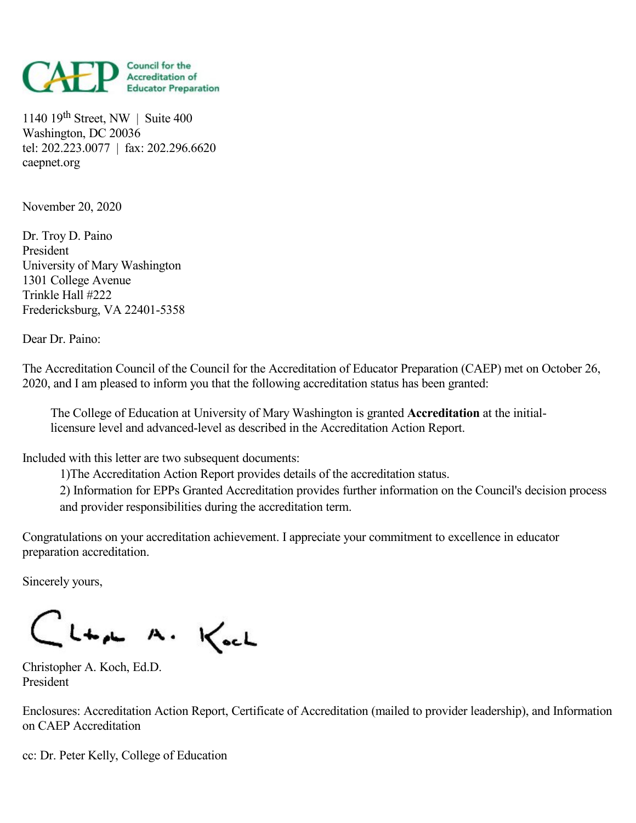

1140 19 th Street, NW | Suite 400 Washington, DC 20036 tel: 202.223.0077 | fax: 202.296.6620 caepnet.org

November 20, 2020

Dr. Troy D. Paino President University of Mary Washington 1301 College Avenue Trinkle Hall #222 Fredericksburg, VA 22401-5358

Dear Dr. Paino:

The Accreditation Council of the Council for the Accreditation of Educator Preparation (CAEP) met on October 26, 2020, and Iam pleased to inform you that the following accreditation status has been granted:

The College of Education at University of Mary Washington is granted **Accreditation** at the initiallicensure level and advanced-level as described in the Accreditation Action Report.

Included with this letter are two subsequent documents:

1)The Accreditation Action Report provides details of the accreditation status.

2) Information for EPPs Granted Accreditation provides further information on the Council's decision process and provider responsibilities during the accreditation term.

Congratulations on your accreditation achievement. I appreciate your commitment to excellence in educator preparation accreditation.

Sincerely yours,

CLta A. Koch

Christopher A. Koch, Ed.D. President

Enclosures: Accreditation Action Report, Certificate of Accreditation (mailed to provider leadership), and Information on CAEP Accreditation

cc: Dr. Peter Kelly, College of Education